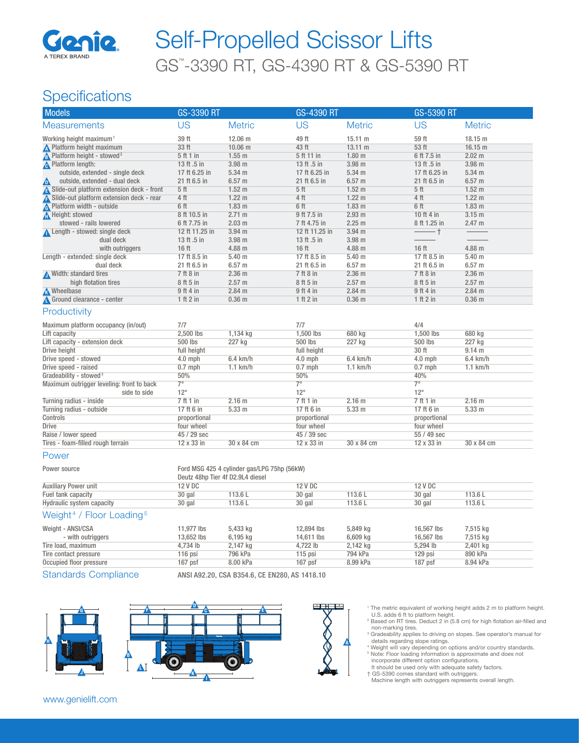

# GS™ -3390 RT, GS-4390 RT & GS-5390 RT Self-Propelled Scissor Lifts

## **Specifications**

| <b>Models</b>                                  | <b>GS-3390 RT</b>                |                                             | <b>GS-4390 RT</b> |                   | GS-5390 RT      |                   |
|------------------------------------------------|----------------------------------|---------------------------------------------|-------------------|-------------------|-----------------|-------------------|
| <b>Measurements</b>                            | <b>US</b>                        | <b>Metric</b>                               | <b>US</b>         | <b>Metric</b>     | <b>US</b>       | <b>Metric</b>     |
| Working height maximum <sup>1</sup>            | 39 ft                            | 12.06 m                                     | 49 ft             | 15.11 m           | 59 ft           | 18.15 m           |
| <b>A</b> Platform height maximum               | 33 ft                            | $10.06$ m                                   | 43 ft             | 13.11 m           | 53 ft           | $16.15$ m         |
| <b>A</b> Platform height - stowed <sup>2</sup> | 5 ft 1 in                        | $1.55$ m                                    | 5 ft 11 in        | 1.80 <sub>m</sub> | 6 ft 7.5 in     | 2.02 m            |
| <b>A</b> Platform length:                      | 13 ft .5 in                      | $3.98$ m                                    | 13 ft .5 in       | $3.98$ m          | 13 ft .5 in     | $3.98$ m          |
| outside, extended - single deck                | 17 ft 6.25 in                    | 5.34 m                                      | 17 ft 6.25 in     | 5.34 m            | 17 ft 6.25 in   | 5.34 m            |
| outside, extended - dual deck<br>Δ             | 21 ft 6.5 in                     | 6.57 <sub>m</sub>                           | 21 ft 6.5 in      | 6.57 <sub>m</sub> | 21 ft 6.5 in    | $6.57$ m          |
| Slide-out platform extension deck - front      | 5 <sub>ft</sub>                  | 1.52 <sub>m</sub>                           | 5 <sup>th</sup>   | 1.52 <sub>m</sub> | 5 <sup>ft</sup> | 1.52 <sub>m</sub> |
| A Slide-out platform extension deck - rear     | 4 <sub>ft</sub>                  | 1.22 <sub>m</sub>                           | 4 <sub>ft</sub>   | 1.22 <sub>m</sub> | 4 <sub>ft</sub> | 1.22 <sub>m</sub> |
| <b>A</b> Platform width - outside              | 6 ft                             | 1.83 <sub>m</sub>                           | 6 ft              | 1.83 <sub>m</sub> | 6 ft            | 1.83 <sub>m</sub> |
| Height: stowed                                 | 8 ft 10.5 in                     | 2.71 m                                      | 9 ft 7.5 in       | 2.93 m            | 10 ft 4 in      | 3.15 m            |
| stowed - rails lowered                         | 6 ft 7.75 in                     | 2.03 m                                      | 7 ft 4.75 in      | 2.25 <sub>m</sub> | 8 ft 1.25 in    | 2.47 m            |
| Length - stowed: single deck                   | 12 ft 11.25 in                   | $3.94$ m                                    | 12 ft 11.25 in    | $3.94$ m          | $\frac{1}{1}$   |                   |
| dual deck                                      | 13 ft .5 in                      | 3.98 m                                      | 13 ft .5 in       | 3.98 m            |                 |                   |
| with outriggers                                | 16 ft                            | 4.88 m                                      | $16$ ft           | 4.88 m            | 16 ft           | 4.88 m            |
| Length - extended: single deck                 | 17 ft 8.5 in                     | 5.40 <sub>m</sub>                           | 17 ft 8.5 in      | 5.40 <sub>m</sub> | 17 ft 8.5 in    | 5.40 <sub>m</sub> |
| dual deck                                      | 21 ft 6.5 in                     | $6.57$ m                                    | 21 ft 6.5 in      | 6.57 <sub>m</sub> | 21 ft 6.5 in    | $6.57$ m          |
| Width: standard tires                          | 7 ft 8 in                        | 2.36 <sub>m</sub>                           | 7 ft 8 in         | 2.36 <sub>m</sub> | 7 ft 8 in       | 2.36 <sub>m</sub> |
| high flotation tires                           | 8 ft 5 in                        | 2.57 m                                      | 8 ft 5 in         | 2.57 m            | 8 ft 5 in       | 2.57 m            |
| <b>M</b> heelbase                              | 9 ft 4 in                        | $2.84$ m                                    | 9 ft 4 in         | $2.84$ m          | 9 ft 4 in       | $2.84$ m          |
| Ground clearance - center                      | 1 ft 2 in                        | 0.36 <sub>m</sub>                           | 1 ft 2 in         | 0.36 <sub>m</sub> | 1 ft 2 in       | 0.36 <sub>m</sub> |
| Productivity                                   |                                  |                                             |                   |                   |                 |                   |
| Maximum platform occupancy (in/out)            | 7/7                              |                                             | 7/7               |                   | 4/4             |                   |
| Lift capacity                                  | 2,500 lbs                        | 1,134 kg                                    | 1,500 lbs         | 680 kg            | 1,500 lbs       | 680 kg            |
| Lift capacity - extension deck                 | 500 lbs                          | 227 kg                                      | 500 lbs           | 227 kg            | 500 lbs         | 227 kg            |
| <b>Drive height</b>                            | full height                      |                                             | full height       |                   | 30 ft           | 9.14 m            |
| Drive speed - stowed                           | $4.0$ mph                        | 6.4 km/h                                    | $4.0$ mph         | 6.4 km/h          | $4.0$ mph       | 6.4 km/h          |
| Drive speed - raised                           | $0.7$ mph                        | $1.1$ km/h                                  | $0.7$ mph         | $1.1$ km/h        | $0.7$ mph       | $1.1$ km/h        |
| Gradeability - stowed <sup>3</sup>             | 50%                              |                                             | 50%               |                   | 40%             |                   |
| Maximum outrigger leveling: front to back      | $7^\circ$                        |                                             | $7^\circ$         |                   | $7^\circ$       |                   |
| side to side                                   | $12^{\circ}$                     |                                             | $12^{\circ}$      |                   | $12^{\circ}$    |                   |
| Turning radius - inside                        | 7ft1in                           | 2.16 m                                      | 7ft1in            | 2.16 m            | 7ft1in          | 2.16 m            |
| Turning radius - outside                       | 17 ft 6 in                       | 5.33 m                                      | 17 ft 6 in        | 5.33 m            | 17 ft 6 in      | 5.33 m            |
| Controls                                       | proportional                     |                                             | proportional      |                   | proportional    |                   |
| <b>Drive</b>                                   | four wheel                       |                                             | four wheel        |                   | four wheel      |                   |
| Raise / lower speed                            | 45 / 29 sec                      |                                             | 45 / 39 sec       |                   | 55 / 49 sec     |                   |
| Tires - foam-filled rough terrain              | 12 x 33 in                       | 30 x 84 cm                                  | 12 x 33 in        | 30 x 84 cm        | 12 x 33 in      | 30 x 84 cm        |
| Power                                          |                                  |                                             |                   |                   |                 |                   |
| Power source                                   | Deutz 48hp Tier 4f D2.9L4 diesel | Ford MSG 425 4 cylinder gas/LPG 75hp (56kW) |                   |                   |                 |                   |

#### Auxiliary Power unit 12 V DC 12 V DC 12 V DC 12 V DC 12 V DC 12 V DC 12 V DC 12 V DC 12 V DC 12 V DC Fuel tank capacity **113.6 L** 30 gal 113.6 L 30 gal 113.6 L 30 gal 113.6 L 30 gal 113.6 L 30 gal 113.6 L 30 gal 113.6 L 30 gal 113.6 L 30 gal 113.6 L 30 gal 113.6 L 30 gal 113.6 L 30 gal 113.6 L 30 gal 113.6 L 30 gal 113.6 Hydraulic system capacity

#### Weight<sup>4</sup> / Floor Loading<sup>5</sup>

| Weight - ANSI/CSA       | 11.977 lbs | 5,433 kg | 12,894 lbs | 5,849 kg   | 16,567 lbs | 7,515 kg |
|-------------------------|------------|----------|------------|------------|------------|----------|
| - with outriggers       | 13.652 lbs | 6,195 kg | 14.611 lbs | $6,609$ kg | 16,567 lbs | 7,515 kg |
| Tire load, maximum      | 4.734 lb   | 2,147 kg | 4.722 lb   | 2,142 kg   | $5.294$ lb | 2,401 kg |
| Tire contact pressure   | 116 psi    | 796 kPa  | 115 psi    | 794 kPa    | 129 psi    | 890 kPa  |
| Occupied floor pressure | 167 psf    | 8.00 kPa | $167$ psf  | 8.99 kPa   | $187$ psf  | 8.94 kPa |
|                         |            |          |            |            |            |          |

Standards Compliance ANSI A92.20, CSA B354.6, CE EN280, AS 1418.10





- ' The metric equivalent of working height adds 2 m to platform height.<br>U.S. adds 6 ft to platform height.<br><sup>2</sup> Based on RT tires. Deduct 2 in (5.8 cm) for high flotation air-filled and
- non-marking tires.
- <sup>3</sup> Gradeability applies to driving on slopes. See operator's manual for details regarding slope ratings.
- <sup>4</sup> Weight will vary depending on options and/or country standards. 5 Note: Floor loading information is approximate and does not incorporate different option configurations.
- It should be used only with adequate safety factors. † GS-5390 comes standard with outriggers.
	- Machine length with outriggers represents overall length.

A